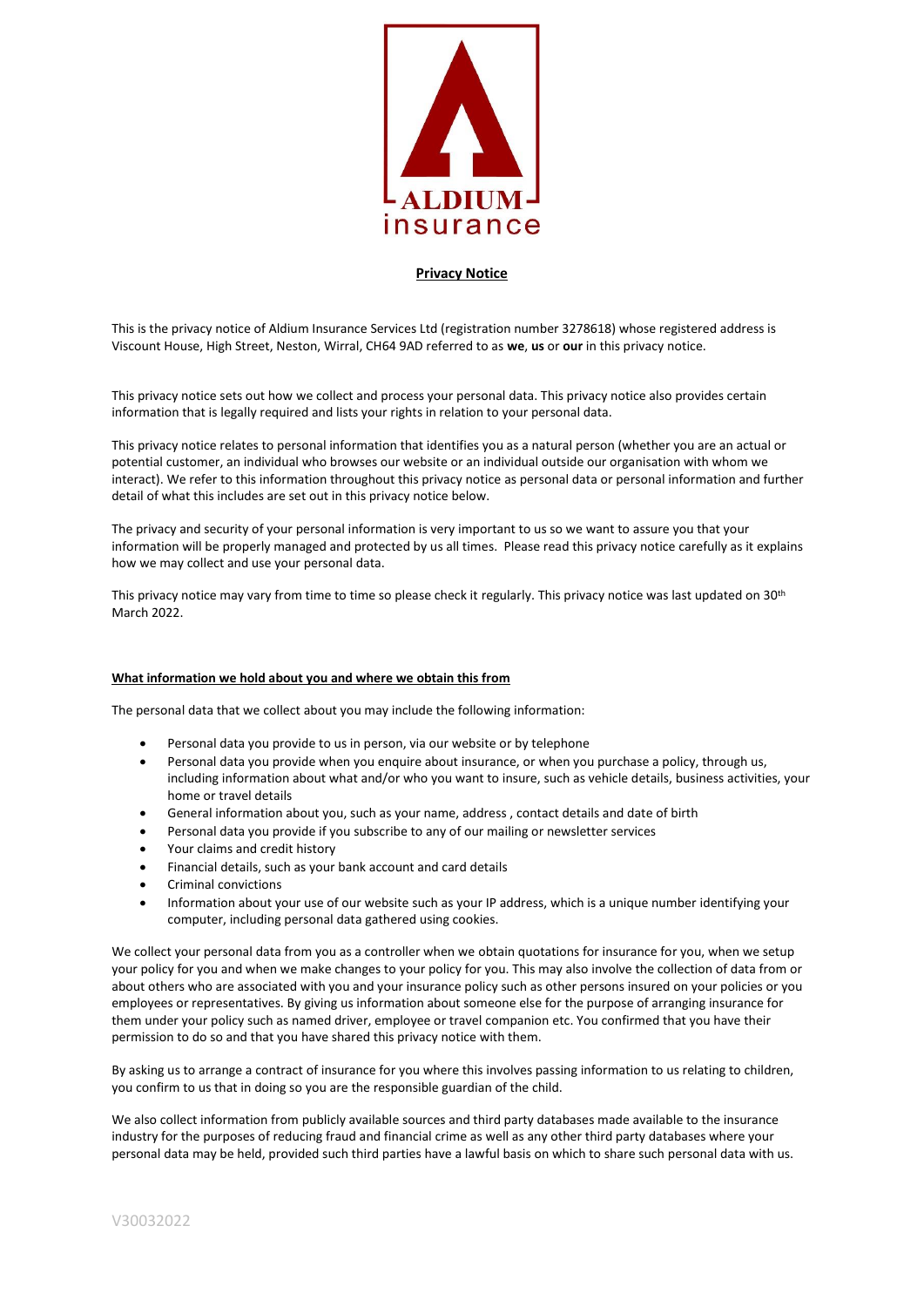

## **Privacy Notice**

This is the privacy notice of Aldium Insurance Services Ltd (registration number 3278618) whose registered address is Viscount House, High Street, Neston, Wirral, CH64 9AD referred to as **we**, **us** or **our** in this privacy notice.

This privacy notice sets out how we collect and process your personal data. This privacy notice also provides certain information that is legally required and lists your rights in relation to your personal data.

This privacy notice relates to personal information that identifies you as a natural person (whether you are an actual or potential customer, an individual who browses our website or an individual outside our organisation with whom we interact). We refer to this information throughout this privacy notice as personal data or personal information and further detail of what this includes are set out in this privacy notice below.

The privacy and security of your personal information is very important to us so we want to assure you that your information will be properly managed and protected by us all times. Please read this privacy notice carefully as it explains how we may collect and use your personal data.

This privacy notice may vary from time to time so please check it regularly. This privacy notice was last updated on 30<sup>th</sup> March 2022.

# **What information we hold about you and where we obtain this from**

The personal data that we collect about you may include the following information:

- Personal data you provide to us in person, via our website or by telephone
- Personal data you provide when you enquire about insurance, or when you purchase a policy, through us, including information about what and/or who you want to insure, such as vehicle details, business activities, your home or travel details
- General information about you, such as your name, address , contact details and date of birth
- Personal data you provide if you subscribe to any of our mailing or newsletter services
- Your claims and credit history
- Financial details, such as your bank account and card details
- Criminal convictions
- Information about your use of our website such as your IP address, which is a unique number identifying your computer, including personal data gathered using cookies.

We collect your personal data from you as a controller when we obtain quotations for insurance for you, when we setup your policy for you and when we make changes to your policy for you. This may also involve the collection of data from or about others who are associated with you and your insurance policy such as other persons insured on your policies or you employees or representatives. By giving us information about someone else for the purpose of arranging insurance for them under your policy such as named driver, employee or travel companion etc. You confirmed that you have their permission to do so and that you have shared this privacy notice with them.

By asking us to arrange a contract of insurance for you where this involves passing information to us relating to children, you confirm to us that in doing so you are the responsible guardian of the child.

We also collect information from publicly available sources and third party databases made available to the insurance industry for the purposes of reducing fraud and financial crime as well as any other third party databases where your personal data may be held, provided such third parties have a lawful basis on which to share such personal data with us.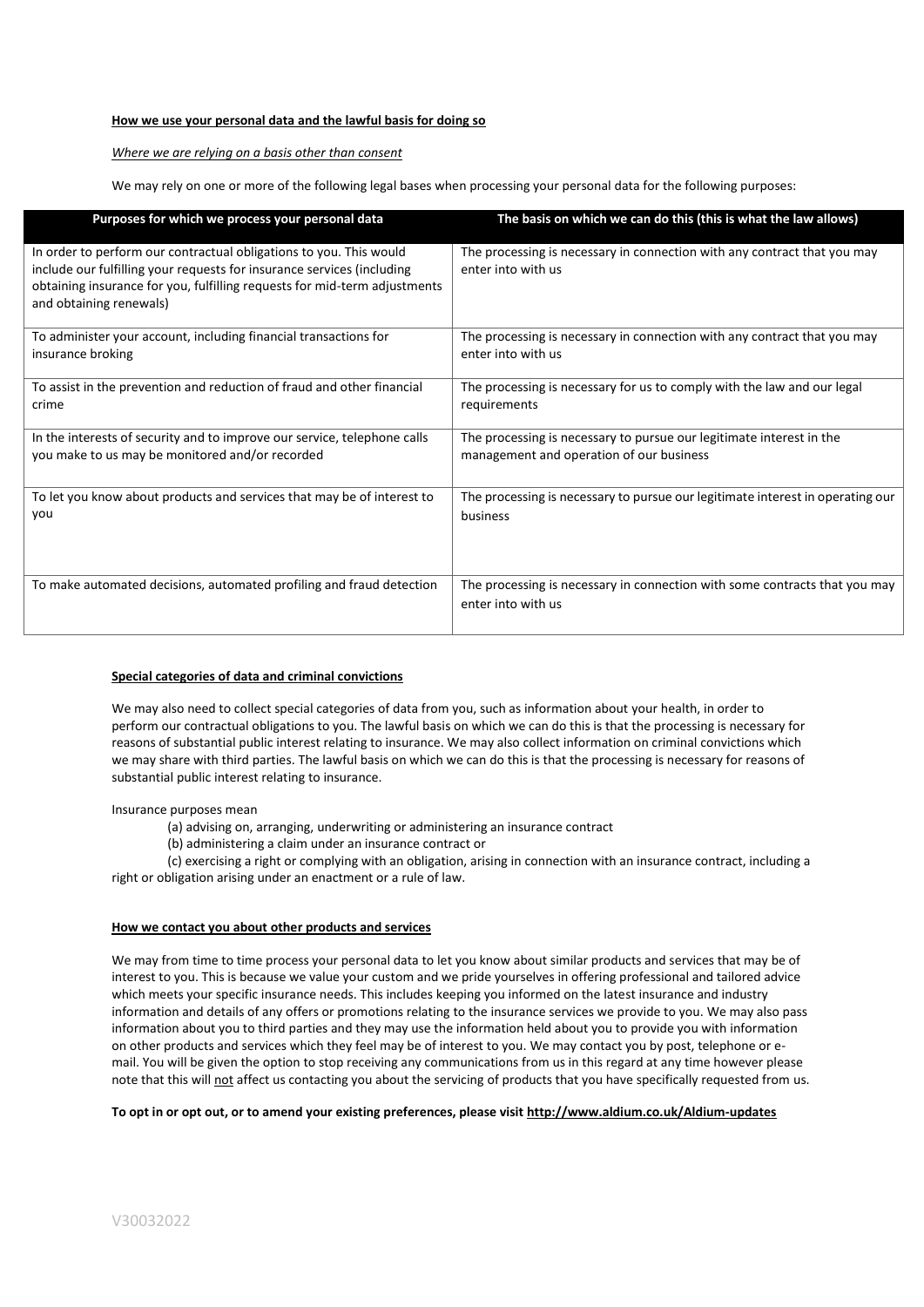## **How we use your personal data and the lawful basis for doing so**

#### *Where we are relying on a basis other than consent*

We may rely on one or more of the following legal bases when processing your personal data for the following purposes:

| Purposes for which we process your personal data                                                                                                                                                                                                     | The basis on which we can do this (this is what the law allows)                                  |
|------------------------------------------------------------------------------------------------------------------------------------------------------------------------------------------------------------------------------------------------------|--------------------------------------------------------------------------------------------------|
| In order to perform our contractual obligations to you. This would<br>include our fulfilling your requests for insurance services (including<br>obtaining insurance for you, fulfilling requests for mid-term adjustments<br>and obtaining renewals) | The processing is necessary in connection with any contract that you may<br>enter into with us   |
| To administer your account, including financial transactions for                                                                                                                                                                                     | The processing is necessary in connection with any contract that you may                         |
| insurance broking                                                                                                                                                                                                                                    | enter into with us                                                                               |
| To assist in the prevention and reduction of fraud and other financial                                                                                                                                                                               | The processing is necessary for us to comply with the law and our legal                          |
| crime                                                                                                                                                                                                                                                | requirements                                                                                     |
| In the interests of security and to improve our service, telephone calls                                                                                                                                                                             | The processing is necessary to pursue our legitimate interest in the                             |
| you make to us may be monitored and/or recorded                                                                                                                                                                                                      | management and operation of our business                                                         |
| To let you know about products and services that may be of interest to                                                                                                                                                                               | The processing is necessary to pursue our legitimate interest in operating our                   |
| vou                                                                                                                                                                                                                                                  | business                                                                                         |
| To make automated decisions, automated profiling and fraud detection                                                                                                                                                                                 | The processing is necessary in connection with some contracts that you may<br>enter into with us |

#### **Special categories of data and criminal convictions**

We may also need to collect special categories of data from you, such as information about your health, in order to perform our contractual obligations to you. The lawful basis on which we can do this is that the processing is necessary for reasons of substantial public interest relating to insurance. We may also collect information on criminal convictions which we may share with third parties. The lawful basis on which we can do this is that the processing is necessary for reasons of substantial public interest relating to insurance.

Insurance purposes mean

(a) advising on, arranging, underwriting or administering an insurance contract

(b) administering a claim under an insurance contract or

(c) exercising a right or complying with an obligation, arising in connection with an insurance contract, including a right or obligation arising under an enactment or a rule of law.

## **How we contact you about other products and services**

We may from time to time process your personal data to let you know about similar products and services that may be of interest to you. This is because we value your custom and we pride yourselves in offering professional and tailored advice which meets your specific insurance needs. This includes keeping you informed on the latest insurance and industry information and details of any offers or promotions relating to the insurance services we provide to you. We may also pass information about you to third parties and they may use the information held about you to provide you with information on other products and services which they feel may be of interest to you. We may contact you by post, telephone or email. You will be given the option to stop receiving any communications from us in this regard at any time however please note that this will not affect us contacting you about the servicing of products that you have specifically requested from us.

## **To opt in or opt out, or to amend your existing preferences, please visit<http://www.aldium.co.uk/Aldium-updates>**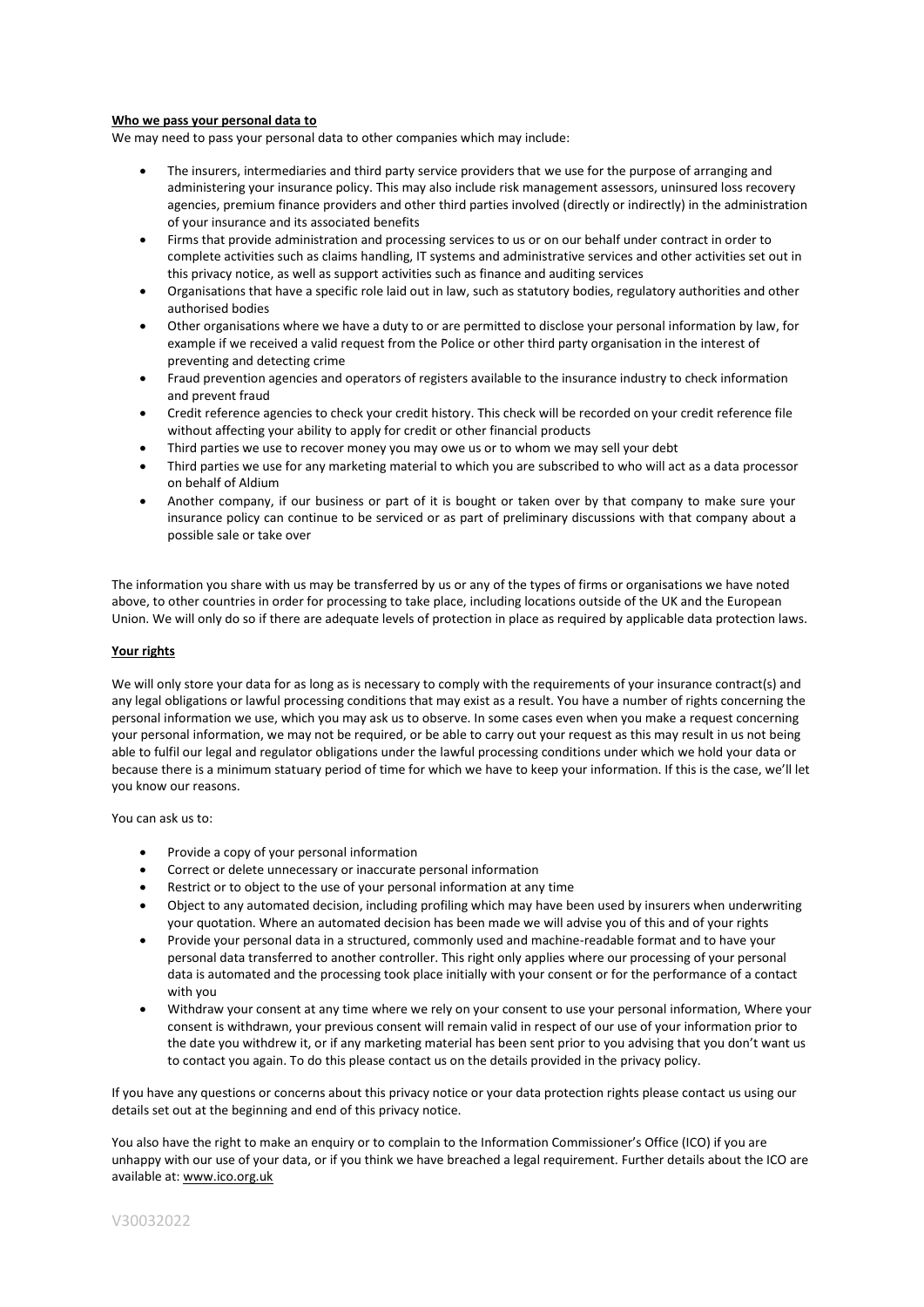#### **Who we pass your personal data to**

We may need to pass your personal data to other companies which may include:

- The insurers, intermediaries and third party service providers that we use for the purpose of arranging and administering your insurance policy. This may also include risk management assessors, uninsured loss recovery agencies, premium finance providers and other third parties involved (directly or indirectly) in the administration of your insurance and its associated benefits
- Firms that provide administration and processing services to us or on our behalf under contract in order to complete activities such as claims handling, IT systems and administrative services and other activities set out in this privacy notice, as well as support activities such as finance and auditing services
- Organisations that have a specific role laid out in law, such as statutory bodies, regulatory authorities and other authorised bodies
- Other organisations where we have a duty to or are permitted to disclose your personal information by law, for example if we received a valid request from the Police or other third party organisation in the interest of preventing and detecting crime
- Fraud prevention agencies and operators of registers available to the insurance industry to check information and prevent fraud
- Credit reference agencies to check your credit history. This check will be recorded on your credit reference file without affecting your ability to apply for credit or other financial products
- Third parties we use to recover money you may owe us or to whom we may sell your debt
- Third parties we use for any marketing material to which you are subscribed to who will act as a data processor on behalf of Aldium
- Another company, if our business or part of it is bought or taken over by that company to make sure your insurance policy can continue to be serviced or as part of preliminary discussions with that company about a possible sale or take over

The information you share with us may be transferred by us or any of the types of firms or organisations we have noted above, to other countries in order for processing to take place, including locations outside of the UK and the European Union. We will only do so if there are adequate levels of protection in place as required by applicable data protection laws.

#### **Your rights**

We will only store your data for as long as is necessary to comply with the requirements of your insurance contract(s) and any legal obligations or lawful processing conditions that may exist as a result. You have a number of rights concerning the personal information we use, which you may ask us to observe. In some cases even when you make a request concerning your personal information, we may not be required, or be able to carry out your request as this may result in us not being able to fulfil our legal and regulator obligations under the lawful processing conditions under which we hold your data or because there is a minimum statuary period of time for which we have to keep your information. If this is the case, we'll let you know our reasons.

You can ask us to:

- Provide a copy of your personal information
- Correct or delete unnecessary or inaccurate personal information
- Restrict or to object to the use of your personal information at any time
- Object to any automated decision, including profiling which may have been used by insurers when underwriting your quotation. Where an automated decision has been made we will advise you of this and of your rights
- Provide your personal data in a structured, commonly used and machine-readable format and to have your personal data transferred to another controller. This right only applies where our processing of your personal data is automated and the processing took place initially with your consent or for the performance of a contact with you
- Withdraw your consent at any time where we rely on your consent to use your personal information, Where your consent is withdrawn, your previous consent will remain valid in respect of our use of your information prior to the date you withdrew it, or if any marketing material has been sent prior to you advising that you don't want us to contact you again. To do this please contact us on the details provided in the privacy policy.

If you have any questions or concerns about this privacy notice or your data protection rights please contact us using our details set out at the beginning and end of this privacy notice.

You also have the right to make an enquiry or to complain to the Information Commissioner's Office (ICO) if you are unhappy with our use of your data, or if you think we have breached a legal requirement. Further details about the ICO are available at[: www.ico.org.uk](http://www.ico.org.uk/)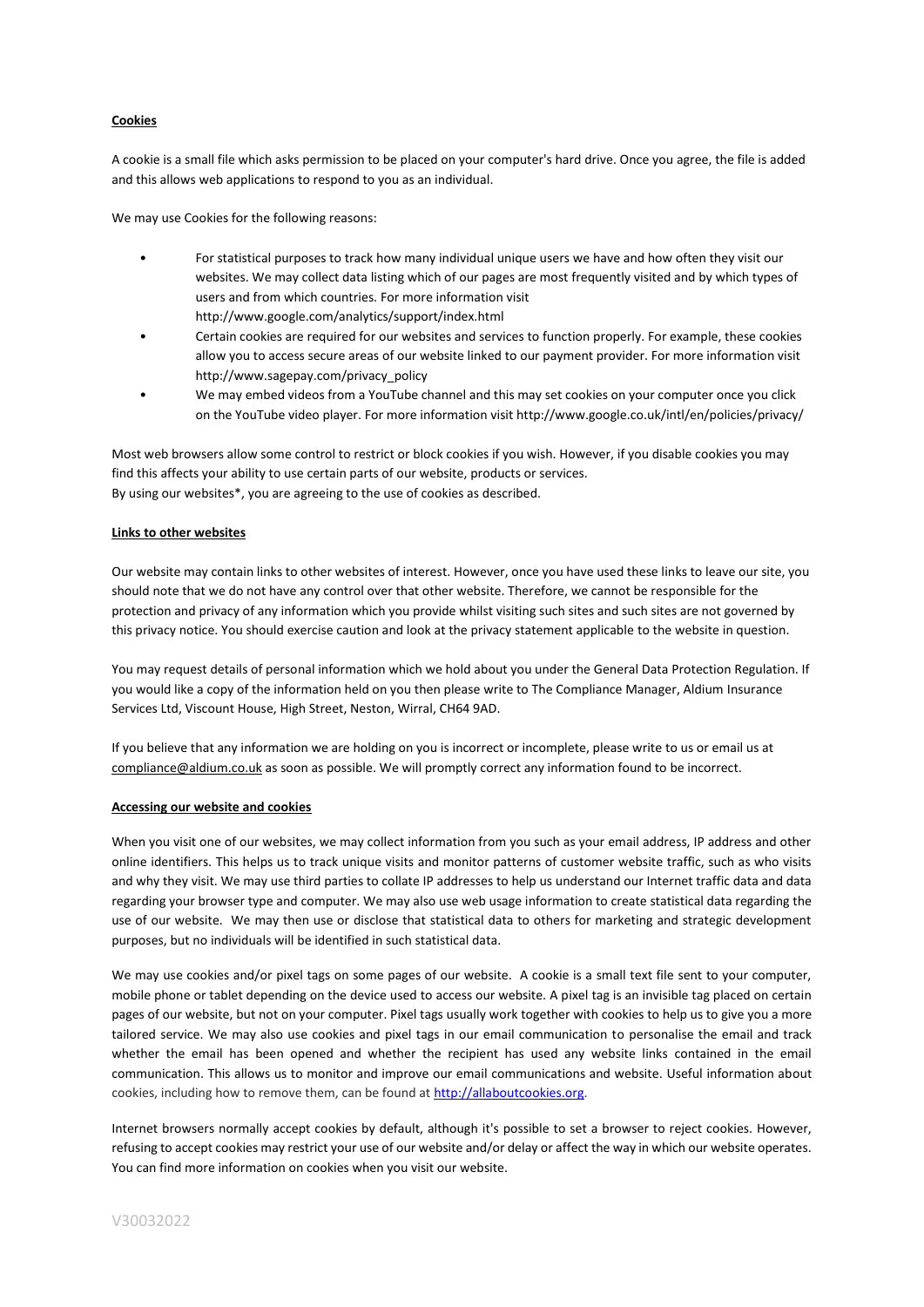# **Cookies**

A cookie is a small file which asks permission to be placed on your computer's hard drive. Once you agree, the file is added and this allows web applications to respond to you as an individual.

We may use Cookies for the following reasons:

- For statistical purposes to track how many individual unique users we have and how often they visit our websites. We may collect data listing which of our pages are most frequently visited and by which types of users and from which countries. For more information visit http://www.google.com/analytics/support/index.html
- Certain cookies are required for our websites and services to function properly. For example, these cookies allow you to access secure areas of our website linked to our payment provider. For more information visit http://www.sagepay.com/privacy\_policy
- We may embed videos from a YouTube channel and this may set cookies on your computer once you click on the YouTube video player. For more information visit http://www.google.co.uk/intl/en/policies/privacy/

Most web browsers allow some control to restrict or block cookies if you wish. However, if you disable cookies you may find this affects your ability to use certain parts of our website, products or services. By using our websites\*, you are agreeing to the use of cookies as described.

#### **Links to other websites**

Our website may contain links to other websites of interest. However, once you have used these links to leave our site, you should note that we do not have any control over that other website. Therefore, we cannot be responsible for the protection and privacy of any information which you provide whilst visiting such sites and such sites are not governed by this privacy notice. You should exercise caution and look at the privacy statement applicable to the website in question.

You may request details of personal information which we hold about you under the General Data Protection Regulation. If you would like a copy of the information held on you then please write to The Compliance Manager, Aldium Insurance Services Ltd, Viscount House, High Street, Neston, Wirral, CH64 9AD.

If you believe that any information we are holding on you is incorrect or incomplete, please write to us or email us at [compliance@aldium.co.uk](mailto:compliance@aldium.co.uk) as soon as possible. We will promptly correct any information found to be incorrect.

#### **Accessing our website and cookies**

When you visit one of our websites, we may collect information from you such as your email address, IP address and other online identifiers. This helps us to track unique visits and monitor patterns of customer website traffic, such as who visits and why they visit. We may use third parties to collate IP addresses to help us understand our Internet traffic data and data regarding your browser type and computer. We may also use web usage information to create statistical data regarding the use of our website. We may then use or disclose that statistical data to others for marketing and strategic development purposes, but no individuals will be identified in such statistical data.

We may use cookies and/or pixel tags on some pages of our website. A cookie is a small text file sent to your computer, mobile phone or tablet depending on the device used to access our website. A pixel tag is an invisible tag placed on certain pages of our website, but not on your computer. Pixel tags usually work together with cookies to help us to give you a more tailored service. We may also use cookies and pixel tags in our email communication to personalise the email and track whether the email has been opened and whether the recipient has used any website links contained in the email communication. This allows us to monitor and improve our email communications and website. Useful information about cookies, including how to remove them, can be found a[t http://allaboutcookies.org.](http://allaboutcookies.org/)

Internet browsers normally accept cookies by default, although it's possible to set a browser to reject cookies. However, refusing to accept cookies may restrict your use of our website and/or delay or affect the way in which our website operates. You can find more information on cookies when you visit our website.